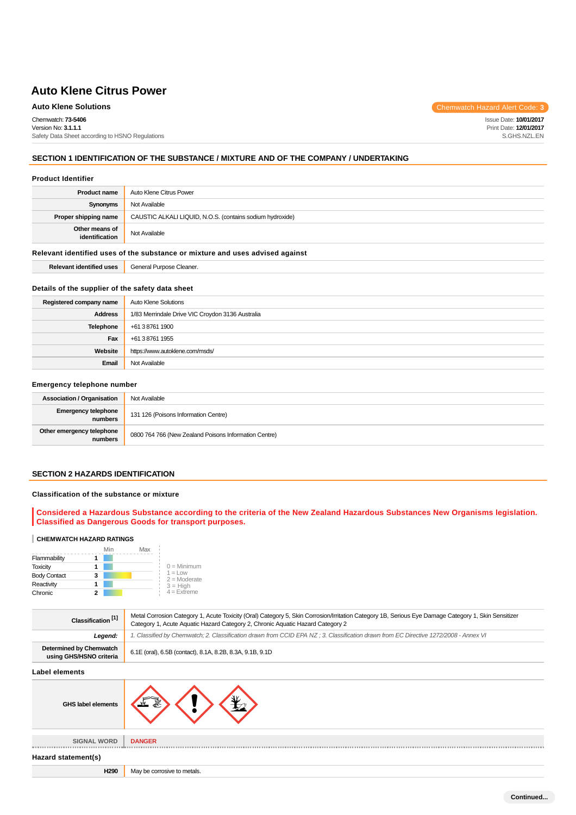**Auto Klene Solutions** Chemwatch Hazard Alert Code: 3 Chemwatch: **73-5406** Version No: **3.1.1.1** Safety Data Sheet according to HSNO Regulations Issue Date: **10/01/2017** Print Date: **12/01/2017** S.GHS.NZL.EN

# **SECTION 1 IDENTIFICATION OF THE SUBSTANCE / MIXTURE AND OF THE COMPANY / UNDERTAKING**

#### **Product Identifier**

| <b>Product name</b>                                                           | Auto Klene Citrus Power                                   |  |
|-------------------------------------------------------------------------------|-----------------------------------------------------------|--|
| Synonyms                                                                      | Not Available                                             |  |
| Proper shipping name                                                          | CAUSTIC ALKALI LIQUID, N.O.S. (contains sodium hydroxide) |  |
| Other means of<br>identification                                              | Not Available                                             |  |
| Relevant identified uses of the substance or mixture and uses advised against |                                                           |  |
| <b>Relevant identified uses</b>                                               | General Purpose Cleaner.                                  |  |

#### **Details of the supplier of the safety data sheet**

| Registered company name | Auto Klene Solutions                             |
|-------------------------|--------------------------------------------------|
| <b>Address</b>          | 1/83 Merrindale Drive VIC Croydon 3136 Australia |
| <b>Telephone</b>        | +61 3 8761 1900                                  |
| Fax                     | +61 3 8761 1955                                  |
| Website                 | https://www.autoklene.com/msds/                  |
| Email                   | Not Available                                    |

#### **Emergency telephone number**

| <b>Association / Organisation</b>     | Not Available                                         |
|---------------------------------------|-------------------------------------------------------|
| <b>Emergency telephone</b><br>numbers | 131 126 (Poisons Information Centre)                  |
| Other emergency telephone<br>numbers  | 0800 764 766 (New Zealand Poisons Information Centre) |

# **SECTION 2 HAZARDS IDENTIFICATION**

# **Classification of the substance or mixture**

# **Considered a Hazardous Substance according to the criteria of the New Zealand Hazardous Substances New Organisms legislation. Classified as Dangerous Goods for transport purposes.**

#### **CHEMWATCH HAZARD RATINGS**

|                     |   | Mir | Max |                             |
|---------------------|---|-----|-----|-----------------------------|
| Flammability        |   |     |     |                             |
| <b>Toxicity</b>     |   |     |     | $0 =$ Minimum               |
| <b>Body Contact</b> | 3 |     |     | $1 =$ Low<br>$2 =$ Moderate |
| Reactivity          |   |     |     | $3 = High$                  |
| Chronic             |   |     |     | $4$ = Extreme               |

| Classification <sup>[1]</sup>                      | Metal Corrosion Category 1, Acute Toxicity (Oral) Category 5, Skin Corrosion/Irritation Category 1B, Serious Eye Damage Category 1, Skin Sensitizer<br>Category 1, Acute Aquatic Hazard Category 2, Chronic Aquatic Hazard Category 2 |  |
|----------------------------------------------------|---------------------------------------------------------------------------------------------------------------------------------------------------------------------------------------------------------------------------------------|--|
| Legend:                                            | 1. Classified by Chemwatch; 2. Classification drawn from CCID EPA NZ; 3. Classification drawn from EC Directive 1272/2008 - Annex VI                                                                                                  |  |
| Determined by Chemwatch<br>using GHS/HSNO criteria | 6.1E (oral), 6.5B (contact), 8.1A, 8.2B, 8.3A, 9.1B, 9.1D                                                                                                                                                                             |  |
| Label elements                                     |                                                                                                                                                                                                                                       |  |

# **GHS label elements SIGNAL WORD DANGER** \_\_\_\_\_\_\_\_\_\_\_\_\_\_\_ **Hazard statement(s)**

**H290** May be corrosive to metals.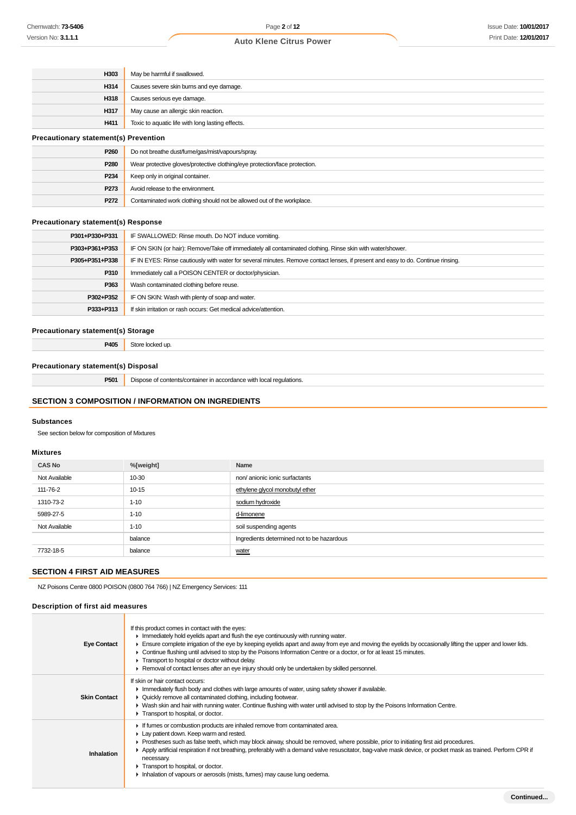| H303                                         | May be harmful if swallowed.                                               |  |
|----------------------------------------------|----------------------------------------------------------------------------|--|
| H314                                         | Causes severe skin burns and eye damage.                                   |  |
| H318                                         | Causes serious eye damage.                                                 |  |
| H317                                         | May cause an allergic skin reaction.                                       |  |
| H411                                         | Toxic to aquatic life with long lasting effects.                           |  |
| <b>Precautionary statement(s) Prevention</b> |                                                                            |  |
| P <sub>260</sub>                             | Do not breathe dust/fume/gas/mist/vapours/spray.                           |  |
| P280                                         | Wear protective gloves/protective clothing/eye protection/face protection. |  |
| P <sub>234</sub>                             | Keep only in original container.                                           |  |
| P273                                         | Avoid release to the environment.                                          |  |

#### **Precautionary statement(s) Response**

| P301+P330+P331 | IF SWALLOWED: Rinse mouth. Do NOT induce vomiting.                                                                               |  |
|----------------|----------------------------------------------------------------------------------------------------------------------------------|--|
| P303+P361+P353 | IF ON SKIN (or hair): Remove/Take off immediately all contaminated clothing. Rinse skin with water/shower.                       |  |
| P305+P351+P338 | IF IN EYES: Rinse cautiously with water for several minutes. Remove contact lenses, if present and easy to do. Continue rinsing. |  |
| P310           | Immediately call a POISON CENTER or doctor/physician.                                                                            |  |
| P363           | Wash contaminated clothing before reuse.                                                                                         |  |
| P302+P352      | IF ON SKIN: Wash with plenty of soap and water.                                                                                  |  |
| P333+P313      | If skin irritation or rash occurs: Get medical advice/attention.                                                                 |  |
|                |                                                                                                                                  |  |

#### **Precautionary statement(s) Storage**

**P405** Store locked up.

#### **Precautionary statement(s) Disposal**

**P501** Dispose of contents/container in accordance with local regulations.

**P272** Contaminated work clothing should not be allowed out of the workplace.

# **SECTION 3 COMPOSITION / INFORMATION ON INGREDIENTS**

# **Substances**

See section below for composition of Mixtures

#### **Mixtures**

| <b>CAS No</b> | %[weight] | Name                                       |  |
|---------------|-----------|--------------------------------------------|--|
| Not Available | 10-30     | non/ anionic ionic surfactants             |  |
| 111-76-2      | $10 - 15$ | ethylene glycol monobutyl ether            |  |
| 1310-73-2     | $1 - 10$  | sodium hydroxide                           |  |
| 5989-27-5     | $1 - 10$  | d-limonene                                 |  |
| Not Available | $1 - 10$  | soil suspending agents                     |  |
|               | balance   | Ingredients determined not to be hazardous |  |
| 7732-18-5     | balance   | water                                      |  |

# **SECTION 4 FIRST AID MEASURES**

NZ Poisons Centre 0800 POISON (0800 764 766) | NZ Emergency Services: 111

#### **Description of first aid measures**

| <b>Eye Contact</b>  | If this product comes in contact with the eyes:<br>In Immediately hold eyelids apart and flush the eye continuously with running water.<br>Ensure complete irrigation of the eye by keeping eyelids apart and away from eye and moving the eyelids by occasionally lifting the upper and lower lids.<br>► Continue flushing until advised to stop by the Poisons Information Centre or a doctor, or for at least 15 minutes.<br>Transport to hospital or doctor without delay.<br>▶ Removal of contact lenses after an eye injury should only be undertaken by skilled personnel. |
|---------------------|-----------------------------------------------------------------------------------------------------------------------------------------------------------------------------------------------------------------------------------------------------------------------------------------------------------------------------------------------------------------------------------------------------------------------------------------------------------------------------------------------------------------------------------------------------------------------------------|
| <b>Skin Contact</b> | If skin or hair contact occurs:<br>In Immediately flush body and clothes with large amounts of water, using safety shower if available.<br>▶ Quickly remove all contaminated clothing, including footwear.<br>► Wash skin and hair with running water. Continue flushing with water until advised to stop by the Poisons Information Centre.<br>Transport to hospital, or doctor.                                                                                                                                                                                                 |
| Inhalation          | If fumes or combustion products are inhaled remove from contaminated area.<br>Lay patient down. Keep warm and rested.<br>▶ Prostheses such as false teeth, which may block airway, should be removed, where possible, prior to initiating first aid procedures.<br>▶ Apply artificial respiration if not breathing, preferably with a demand valve resuscitator, bag-valve mask device, or pocket mask as trained. Perform CPR if<br>necessary.<br>Transport to hospital, or doctor.<br>Inhalation of vapours or aerosols (mists, fumes) may cause lung oedema.                   |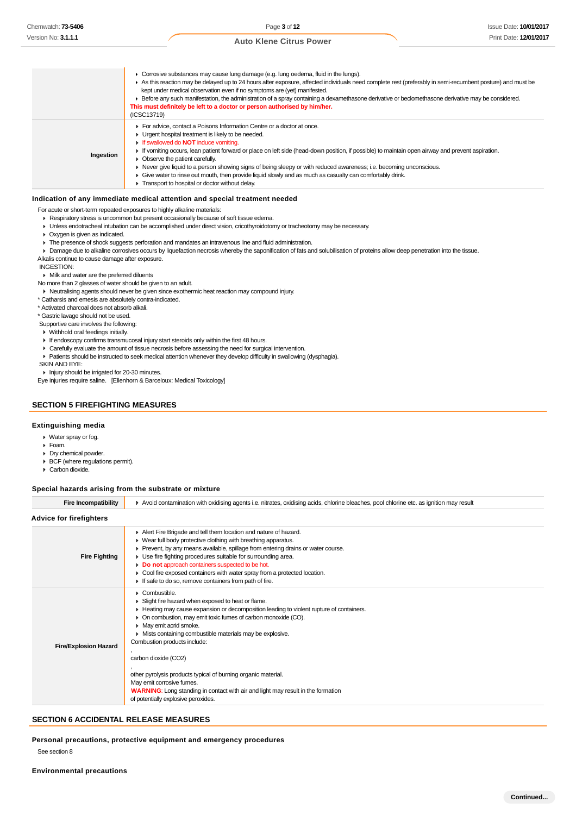#### ▶ Corrosive substances may cause lung damage (e.g. lung oedema, fluid in the lungs). As this reaction may be delayed up to 24 hours after exposure, affected individuals need complete rest (preferably in semi-recumbent posture) and must be kept under medical observation even if no symptoms are (yet) manifested. Before any such manifestation, the administration of a spray containing a dexamethasone derivative or beclomethasone derivative may be considered. **This must definitely be left to a doctor or person authorised by him/her.** (ICSC13719) **Ingestion** For advice, contact a Poisons Information Centre or a doctor at once. **I** Urgent hospital treatment is likely to be needed. If swallowed do **NOT** induce vomiting. If vomiting occurs, lean patient forward or place on left side (head-down position, if possible) to maintain open airway and prevent aspiration.  $\triangleright$  Observe the patient carefully. Never give liquid to a person showing signs of being sleepy or with reduced awareness; i.e. becoming unconscious. Give water to rinse out mouth, then provide liquid slowly and as much as casualty can comfortably drink. **Transport to hospital or doctor without delay.**

#### **Indication of any immediate medical attention and special treatment needed**

For acute or short-term repeated exposures to highly alkaline materials:

- Respiratory stress is uncommon but present occasionally because of soft tissue edema.
- Unless endotracheal intubation can be accomplished under direct vision, cricothyroidotomy or tracheotomy may be necessary.
- Oxygen is given as indicated.
- The presence of shock suggests perforation and mandates an intravenous line and fluid administration.

Damage due to alkaline corrosives occurs by liquefaction necrosis whereby the saponification of fats and solubilisation of proteins allow deep penetration into the tissue. Alkalis continue to cause damage after exposure.

INGESTION:

#### **Milk and water are the preferred diluents**

No more than 2 glasses of water should be given to an adult.

Neutralising agents should never be given since exothermic heat reaction may compound injury.

\* Catharsis and emesis are absolutely contra-indicated. \* Activated charcoal does not absorb alkali.

\* Gastric lavage should not be used.

Supportive care involves the following:

Withhold oral feedings initially.

- If endoscopy confirms transmucosal injury start steroids only within the first 48 hours.
- Carefully evaluate the amount of tissue necrosis before assessing the need for surgical intervention.
- Patients should be instructed to seek medical attention whenever they develop difficulty in swallowing (dysphagia).

SKIN AND EYE:

Injury should be irrigated for 20-30 minutes.

Eye injuries require saline. [Ellenhorn & Barceloux: Medical Toxicology]

#### **SECTION 5 FIREFIGHTING MEASURES**

#### **Extinguishing media**

Water spray or fog.

- Foam.
- Dry chemical powder.
- BCF (where regulations permit).
- ▶ Carbon dioxide.

#### **Special hazards arising from the substrate or mixture**

| <b>Fire Incompatibility</b>    | Avoid contamination with oxidising agents i.e. nitrates, oxidising acids, chlorine bleaches, pool chlorine etc. as ignition may result                                                                                                                                                                                                                                                                                                                                                                                                                                                                                            |  |  |
|--------------------------------|-----------------------------------------------------------------------------------------------------------------------------------------------------------------------------------------------------------------------------------------------------------------------------------------------------------------------------------------------------------------------------------------------------------------------------------------------------------------------------------------------------------------------------------------------------------------------------------------------------------------------------------|--|--|
| <b>Advice for firefighters</b> |                                                                                                                                                                                                                                                                                                                                                                                                                                                                                                                                                                                                                                   |  |  |
| <b>Fire Fighting</b>           | Alert Fire Brigade and tell them location and nature of hazard.<br>▶ Wear full body protective clothing with breathing apparatus.<br>► Prevent, by any means available, spillage from entering drains or water course.<br>• Use fire fighting procedures suitable for surrounding area.<br>Do not approach containers suspected to be hot.<br>• Cool fire exposed containers with water spray from a protected location.<br>If safe to do so, remove containers from path of fire.                                                                                                                                                |  |  |
| <b>Fire/Explosion Hazard</b>   | $\triangleright$ Combustible.<br>Slight fire hazard when exposed to heat or flame.<br>► Heating may cause expansion or decomposition leading to violent rupture of containers.<br>• On combustion, may emit toxic fumes of carbon monoxide (CO).<br>• May emit acrid smoke.<br>• Mists containing combustible materials may be explosive.<br>Combustion products include:<br>carbon dioxide (CO2)<br>other pyrolysis products typical of burning organic material.<br>May emit corrosive fumes.<br><b>WARNING:</b> Long standing in contact with air and light may result in the formation<br>of potentially explosive peroxides. |  |  |

#### **SECTION 6 ACCIDENTAL RELEASE MEASURES**

**Personal precautions, protective equipment and emergency procedures**

See section 8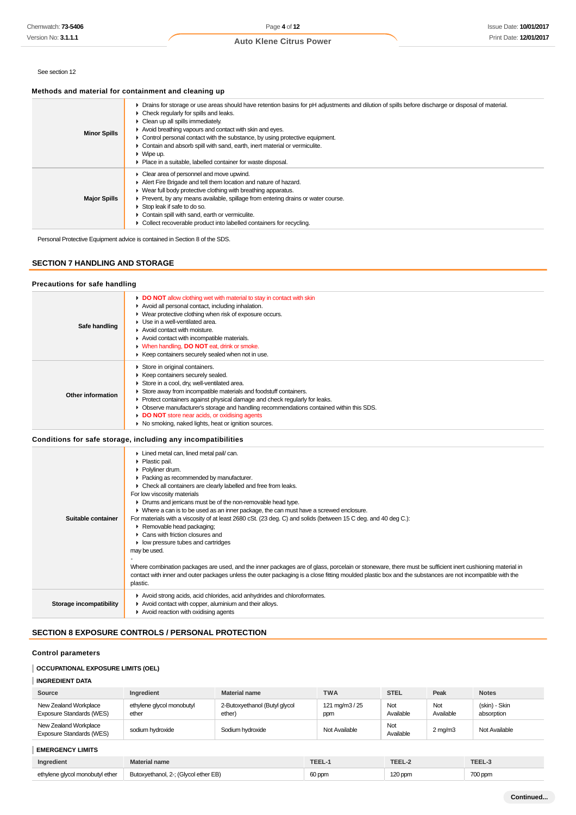# See section 12

# **Methods and material for containment and cleaning up**

| <b>Minor Spills</b> | > Drains for storage or use areas should have retention basins for pH adjustments and dilution of spills before discharge or disposal of material.<br>$\triangleright$ Check regularly for spills and leaks.<br>$\triangleright$ Clean up all spills immediately.<br>Avoid breathing vapours and contact with skin and eyes.<br>$\triangleright$ Control personal contact with the substance, by using protective equipment.<br>• Contain and absorb spill with sand, earth, inert material or vermiculite.<br>$\blacktriangleright$ Wipe up.<br>• Place in a suitable, labelled container for waste disposal. |
|---------------------|----------------------------------------------------------------------------------------------------------------------------------------------------------------------------------------------------------------------------------------------------------------------------------------------------------------------------------------------------------------------------------------------------------------------------------------------------------------------------------------------------------------------------------------------------------------------------------------------------------------|
| <b>Major Spills</b> | • Clear area of personnel and move upwind.<br>Alert Fire Brigade and tell them location and nature of hazard.<br>• Wear full body protective clothing with breathing apparatus.<br>• Prevent, by any means available, spillage from entering drains or water course.<br>$\triangleright$ Stop leak if safe to do so.<br>Contain spill with sand, earth or vermiculite.<br>• Collect recoverable product into labelled containers for recycling.                                                                                                                                                                |

Personal Protective Equipment advice is contained in Section 8 of the SDS.

# **SECTION 7 HANDLING AND STORAGE**

#### **Precautions for safe handling**

| Safe handling     | <b>DO NOT</b> allow clothing wet with material to stay in contact with skin<br>Avoid all personal contact, including inhalation.<br>• Wear protective clothing when risk of exposure occurs.<br>▶ Use in a well-ventilated area.<br>Avoid contact with moisture.<br>Avoid contact with incompatible materials.<br>When handling, <b>DO NOT</b> eat, drink or smoke.<br>► Keep containers securely sealed when not in use.                                                  |
|-------------------|----------------------------------------------------------------------------------------------------------------------------------------------------------------------------------------------------------------------------------------------------------------------------------------------------------------------------------------------------------------------------------------------------------------------------------------------------------------------------|
| Other information | Store in original containers.<br>▶ Keep containers securely sealed.<br>Store in a cool, dry, well-ventilated area.<br>Store away from incompatible materials and foodstuff containers.<br>► Protect containers against physical damage and check regularly for leaks.<br>• Observe manufacturer's storage and handling recommendations contained within this SDS.<br>DO NOT store near acids, or oxidising agents<br>▶ No smoking, naked lights, heat or ignition sources. |

# **Conditions for safe storage, including any incompatibilities**

| Suitable container      | Lined metal can, lined metal pail/can.<br>• Plastic pail.<br>▶ Polyliner drum.<br>• Packing as recommended by manufacturer.<br>• Check all containers are clearly labelled and free from leaks.<br>For low viscosity materials<br>• Drums and jerricans must be of the non-removable head type.<br>• Where a can is to be used as an inner package, the can must have a screwed enclosure.<br>For materials with a viscosity of at least 2680 cSt. (23 deg. C) and solids (between 15 C deg. and 40 deg C.):<br>Removable head packaging;<br>▶ Cans with friction closures and<br>• low pressure tubes and cartridges<br>may be used.<br>Where combination packages are used, and the inner packages are of glass, porcelain or stoneware, there must be sufficient inert cushioning material in<br>contact with inner and outer packages unless the outer packaging is a close fitting moulded plastic box and the substances are not incompatible with the<br>plastic. |
|-------------------------|--------------------------------------------------------------------------------------------------------------------------------------------------------------------------------------------------------------------------------------------------------------------------------------------------------------------------------------------------------------------------------------------------------------------------------------------------------------------------------------------------------------------------------------------------------------------------------------------------------------------------------------------------------------------------------------------------------------------------------------------------------------------------------------------------------------------------------------------------------------------------------------------------------------------------------------------------------------------------|
| Storage incompatibility | Avoid strong acids, acid chlorides, acid anhydrides and chloroformates.<br>Avoid contact with copper, aluminium and their alloys.<br>Avoid reaction with oxidising agents                                                                                                                                                                                                                                                                                                                                                                                                                                                                                                                                                                                                                                                                                                                                                                                                |

# **SECTION 8 EXPOSURE CONTROLS / PERSONAL PROTECTION**

# **Control parameters**

# **OCCUPATIONAL EXPOSURE LIMITS (OEL)**

# **INGREDIENT DATA**

| Source                                            | Ingredient                         | <b>Material name</b>                    | <b>TWA</b>            | <b>STEL</b>      | Peak             | <b>Notes</b>                |
|---------------------------------------------------|------------------------------------|-----------------------------------------|-----------------------|------------------|------------------|-----------------------------|
| New Zealand Workplace<br>Exposure Standards (WES) | ethylene glycol monobutyl<br>ether | 2-Butoxyethanol (Butyl glycol<br>ether) | 121 mg/m3 / 25<br>ppm | Not<br>Available | Not<br>Available | (skin) - Skin<br>absorption |
| New Zealand Workplace<br>Exposure Standards (WES) | sodium hydroxide                   | Sodium hydroxide                        | Not Available         | Not<br>Available | $2 \text{ mg/m}$ | Not Available               |
| <b>EMERGENCY LIMITS</b>                           |                                    |                                         |                       |                  |                  |                             |

| _________________________       |                                      |        |         |             |
|---------------------------------|--------------------------------------|--------|---------|-------------|
| Ingredient                      | iterial name                         |        |         | <b>TEEL</b> |
| ethylene glycol monobutyl ether | Butoxyethanol, 2-; (Glycol ether EB) | 60 ppm | 120 ppm | 700 ppm     |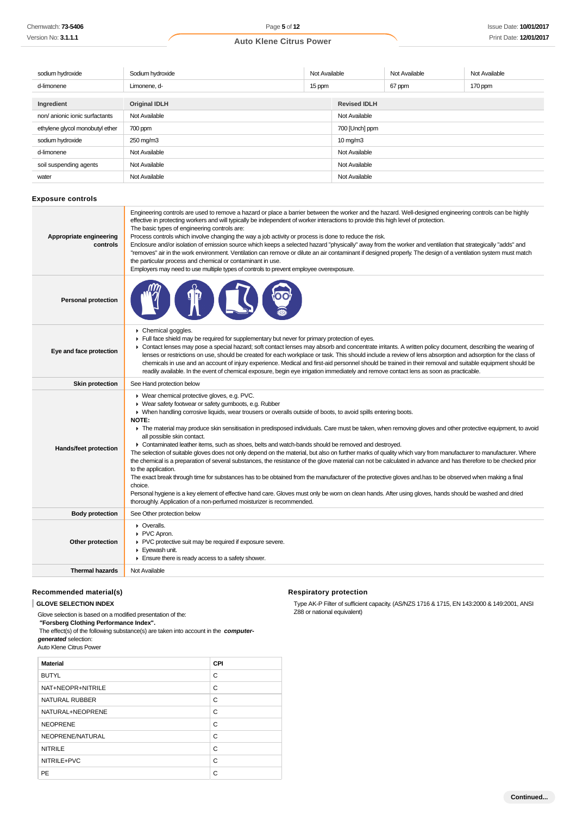| sodium hydroxide                | Sodium hydroxide     | Not Available |                      | Not Available | Not Available |
|---------------------------------|----------------------|---------------|----------------------|---------------|---------------|
| d-limonene                      | Limonene, d-         | 15 ppm        |                      | 67 ppm        | 170 ppm       |
| Ingredient                      | <b>Original IDLH</b> |               | <b>Revised IDLH</b>  |               |               |
| non/anionic ionic surfactants   | Not Available        |               | Not Available        |               |               |
| ethylene glycol monobutyl ether | 700 ppm              |               | 700 [Unch] ppm       |               |               |
| sodium hydroxide                | 250 mg/m3            |               | $10 \,\mathrm{mg/m}$ |               |               |
| d-limonene                      | Not Available        |               | Not Available        |               |               |
| soil suspending agents          | Not Available        |               | Not Available        |               |               |
| water                           | Not Available        |               | Not Available        |               |               |

#### **Exposure controls**

| Appropriate engineering<br>controls | Engineering controls are used to remove a hazard or place a barrier between the worker and the hazard. Well-designed engineering controls can be highly<br>effective in protecting workers and will typically be independent of worker interactions to provide this high level of protection.<br>The basic types of engineering controls are:<br>Process controls which involve changing the way a job activity or process is done to reduce the risk.<br>Enclosure and/or isolation of emission source which keeps a selected hazard "physically" away from the worker and ventilation that strategically "adds" and<br>"removes" air in the work environment. Ventilation can remove or dilute an air contaminant if designed properly. The design of a ventilation system must match<br>the particular process and chemical or contaminant in use.<br>Employers may need to use multiple types of controls to prevent employee overexposure.                                                                                                                                                                                                                                                                                                                                                                     |
|-------------------------------------|---------------------------------------------------------------------------------------------------------------------------------------------------------------------------------------------------------------------------------------------------------------------------------------------------------------------------------------------------------------------------------------------------------------------------------------------------------------------------------------------------------------------------------------------------------------------------------------------------------------------------------------------------------------------------------------------------------------------------------------------------------------------------------------------------------------------------------------------------------------------------------------------------------------------------------------------------------------------------------------------------------------------------------------------------------------------------------------------------------------------------------------------------------------------------------------------------------------------------------------------------------------------------------------------------------------------|
| <b>Personal protection</b>          |                                                                                                                                                                                                                                                                                                                                                                                                                                                                                                                                                                                                                                                                                                                                                                                                                                                                                                                                                                                                                                                                                                                                                                                                                                                                                                                     |
| Eye and face protection             | Chemical goggles.<br>Full face shield may be required for supplementary but never for primary protection of eyes.<br>• Contact lenses may pose a special hazard; soft contact lenses may absorb and concentrate irritants. A written policy document, describing the wearing of<br>lenses or restrictions on use, should be created for each workplace or task. This should include a review of lens absorption and adsorption for the class of<br>chemicals in use and an account of injury experience. Medical and first-aid personnel should be trained in their removal and suitable equipment should be<br>readily available. In the event of chemical exposure, begin eye irrigation immediately and remove contact lens as soon as practicable.                                                                                                                                                                                                                                                                                                                                                                                                                                                                                                                                                              |
| <b>Skin protection</b>              | See Hand protection below                                                                                                                                                                                                                                                                                                                                                                                                                                                                                                                                                                                                                                                                                                                                                                                                                                                                                                                                                                                                                                                                                                                                                                                                                                                                                           |
| Hands/feet protection               | ▶ Wear chemical protective gloves, e.g. PVC.<br>▶ Wear safety footwear or safety gumboots, e.g. Rubber<br>• When handling corrosive liquids, wear trousers or overalls outside of boots, to avoid spills entering boots.<br><b>NOTE:</b><br>The material may produce skin sensitisation in predisposed individuals. Care must be taken, when removing gloves and other protective equipment, to avoid<br>all possible skin contact.<br>• Contaminated leather items, such as shoes, belts and watch-bands should be removed and destroyed.<br>The selection of suitable gloves does not only depend on the material, but also on further marks of quality which vary from manufacturer to manufacturer. Where<br>the chemical is a preparation of several substances, the resistance of the glove material can not be calculated in advance and has therefore to be checked prior<br>to the application.<br>The exact break through time for substances has to be obtained from the manufacturer of the protective gloves and has to be observed when making a final<br>choice.<br>Personal hygiene is a key element of effective hand care. Gloves must only be worn on clean hands. After using gloves, hands should be washed and dried<br>thoroughly. Application of a non-perfumed moisturizer is recommended. |
| <b>Body protection</b>              | See Other protection below                                                                                                                                                                                                                                                                                                                                                                                                                                                                                                                                                                                                                                                                                                                                                                                                                                                                                                                                                                                                                                                                                                                                                                                                                                                                                          |
| Other protection                    | • Overalls.<br>▶ PVC Apron.<br>▶ PVC protective suit may be required if exposure severe.<br>Evewash unit.<br>Ensure there is ready access to a safety shower.                                                                                                                                                                                                                                                                                                                                                                                                                                                                                                                                                                                                                                                                                                                                                                                                                                                                                                                                                                                                                                                                                                                                                       |
| <b>Thermal hazards</b>              | Not Available                                                                                                                                                                                                                                                                                                                                                                                                                                                                                                                                                                                                                                                                                                                                                                                                                                                                                                                                                                                                                                                                                                                                                                                                                                                                                                       |
|                                     |                                                                                                                                                                                                                                                                                                                                                                                                                                                                                                                                                                                                                                                                                                                                                                                                                                                                                                                                                                                                                                                                                                                                                                                                                                                                                                                     |

#### **Recommended material(s)**

**GLOVE SELECTION INDEX**

Glove selection is based on a modified presentation of the:

 **"Forsberg Clothing Performance Index".** The effect(s) of the following substance(s) are taken into account in the **computer-**

**generated** selection:

Auto Klene Citrus Power

| <b>Material</b>   | CPI |
|-------------------|-----|
| <b>BUTYL</b>      | C   |
| NAT+NEOPR+NITRILE | C   |
| NATURAL RUBBER    | C   |
| NATURAL+NEOPRENE  | C   |
| <b>NEOPRENE</b>   | C   |
| NEOPRENE/NATURAL  | C   |
| <b>NITRILE</b>    | C   |
| NITRILE+PVC       | C   |
| PE                | C   |

#### **Respiratory protection**

Type AK-P Filter of sufficient capacity. (AS/NZS 1716 & 1715, EN 143:2000 & 149:2001, ANSI Z88 or national equivalent)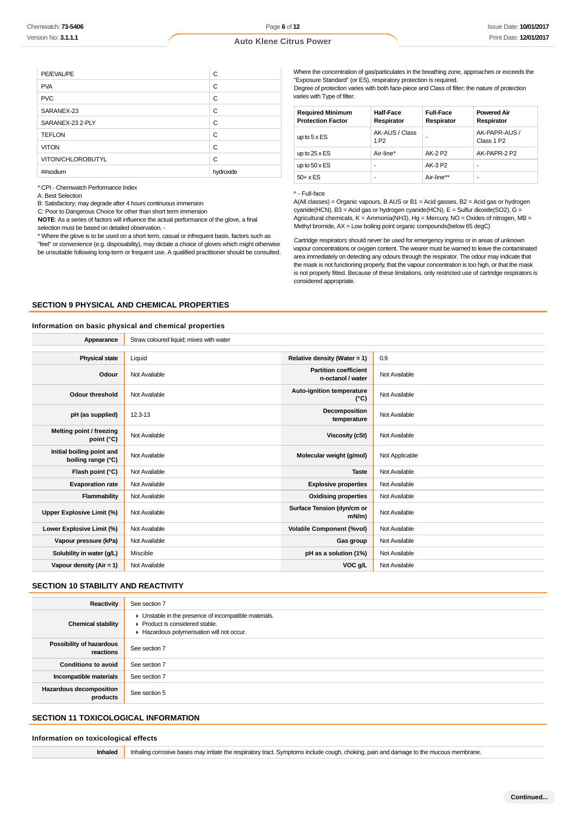Page **6** of **12**

# **Auto Klene Citrus Power**

| PE/EVAL/PE        | C         |
|-------------------|-----------|
| <b>PVA</b>        | C         |
| <b>PVC</b>        | C         |
| SARANEX-23        | C         |
| SARANEX-23 2-PLY  | C         |
| <b>TEFLON</b>     | C         |
| <b>VITON</b>      | C         |
| VITON/CHLOROBUTYL | C         |
| ##sodium          | hydroxide |

| <b>Required Minimum</b><br><b>Protection Factor</b> | <b>Half-Face</b><br>Respirator     | <b>Full-Face</b><br>Respirator | <b>Powered Air</b><br>Respirator        |
|-----------------------------------------------------|------------------------------------|--------------------------------|-----------------------------------------|
| up to $5 \times ES$                                 | AK-AUS / Class<br>1 P <sub>2</sub> |                                | AK-PAPR-AUS /<br>Class 1 P <sub>2</sub> |
| up to $25 \times ES$                                | Air-line*                          | AK-2 P2                        | AK-PAPR-2 P2                            |
| up to $50 \times ES$                                | -                                  | AK-3 P2                        | ۰                                       |
| $50+ x ES$                                          | -                                  | Air-line**                     | ٠                                       |

#### ^ - Full-face

# **SECTION 9 PHYSICAL AND CHEMICAL PROPERTIES**

#### **Information on basic physical and chemical properties**

| Chemwatch: <b>73-5406</b>                                                                                                                                                                                     |                                                                                                                                                                                                                                                                                                                                                                                                                                                       | Page 6 of 12                   |                                                                                                                                                                                                                                                                                                                                                                                                                                                                                                                                                                                                                                                                                                     |                                |                                | <b>Issue Date: 10/01/201</b>                                                                                                                                                                          |  |
|---------------------------------------------------------------------------------------------------------------------------------------------------------------------------------------------------------------|-------------------------------------------------------------------------------------------------------------------------------------------------------------------------------------------------------------------------------------------------------------------------------------------------------------------------------------------------------------------------------------------------------------------------------------------------------|--------------------------------|-----------------------------------------------------------------------------------------------------------------------------------------------------------------------------------------------------------------------------------------------------------------------------------------------------------------------------------------------------------------------------------------------------------------------------------------------------------------------------------------------------------------------------------------------------------------------------------------------------------------------------------------------------------------------------------------------------|--------------------------------|--------------------------------|-------------------------------------------------------------------------------------------------------------------------------------------------------------------------------------------------------|--|
| Version No: <b>3.1.1.1</b>                                                                                                                                                                                    |                                                                                                                                                                                                                                                                                                                                                                                                                                                       | <b>Auto Klene Citrus Power</b> |                                                                                                                                                                                                                                                                                                                                                                                                                                                                                                                                                                                                                                                                                                     |                                |                                | Print Date: 12/01/201                                                                                                                                                                                 |  |
|                                                                                                                                                                                                               |                                                                                                                                                                                                                                                                                                                                                                                                                                                       |                                |                                                                                                                                                                                                                                                                                                                                                                                                                                                                                                                                                                                                                                                                                                     |                                |                                |                                                                                                                                                                                                       |  |
|                                                                                                                                                                                                               |                                                                                                                                                                                                                                                                                                                                                                                                                                                       |                                |                                                                                                                                                                                                                                                                                                                                                                                                                                                                                                                                                                                                                                                                                                     |                                |                                |                                                                                                                                                                                                       |  |
| PE/EVAL/PE                                                                                                                                                                                                    | С                                                                                                                                                                                                                                                                                                                                                                                                                                                     |                                | Where the concentration of gas/particulates in the breathing zone, approaches or exceeds the<br>"Exposure Standard" (or ES), respiratory protection is required.                                                                                                                                                                                                                                                                                                                                                                                                                                                                                                                                    |                                |                                |                                                                                                                                                                                                       |  |
| <b>PVA</b>                                                                                                                                                                                                    | C                                                                                                                                                                                                                                                                                                                                                                                                                                                     |                                | Degree of protection varies with both face-piece and Class of filter; the nature of protection<br>varies with Type of filter.                                                                                                                                                                                                                                                                                                                                                                                                                                                                                                                                                                       |                                |                                |                                                                                                                                                                                                       |  |
| <b>PVC</b>                                                                                                                                                                                                    | C                                                                                                                                                                                                                                                                                                                                                                                                                                                     |                                |                                                                                                                                                                                                                                                                                                                                                                                                                                                                                                                                                                                                                                                                                                     |                                |                                |                                                                                                                                                                                                       |  |
| SARANEX-23                                                                                                                                                                                                    | C                                                                                                                                                                                                                                                                                                                                                                                                                                                     |                                | <b>Required Minimum</b><br><b>Protection Factor</b>                                                                                                                                                                                                                                                                                                                                                                                                                                                                                                                                                                                                                                                 | <b>Half-Face</b><br>Respirator | <b>Full-Face</b><br>Respirator | <b>Powered Air</b><br>Respirator                                                                                                                                                                      |  |
| SARANEX-23 2-PLY                                                                                                                                                                                              | C                                                                                                                                                                                                                                                                                                                                                                                                                                                     |                                |                                                                                                                                                                                                                                                                                                                                                                                                                                                                                                                                                                                                                                                                                                     | AK-AUS / Class                 |                                | AK-PAPR-AUS /                                                                                                                                                                                         |  |
| <b>TEFLON</b>                                                                                                                                                                                                 | C                                                                                                                                                                                                                                                                                                                                                                                                                                                     |                                | up to $5 \times ES$                                                                                                                                                                                                                                                                                                                                                                                                                                                                                                                                                                                                                                                                                 | 1 P <sub>2</sub>               |                                | Class 1 P2                                                                                                                                                                                            |  |
| <b>VITON</b>                                                                                                                                                                                                  | C                                                                                                                                                                                                                                                                                                                                                                                                                                                     |                                |                                                                                                                                                                                                                                                                                                                                                                                                                                                                                                                                                                                                                                                                                                     | Air-line*                      | AK-2 P2                        | AK-PAPR-2 P2                                                                                                                                                                                          |  |
| VITON/CHLOROBUTYL<br>##sodium                                                                                                                                                                                 | C                                                                                                                                                                                                                                                                                                                                                                                                                                                     | hydroxide                      | up to $50 \times ES$                                                                                                                                                                                                                                                                                                                                                                                                                                                                                                                                                                                                                                                                                | $\overline{a}$                 | AK-3 P2                        | $\sim$                                                                                                                                                                                                |  |
| * CPI - Chemwatch Performance Index                                                                                                                                                                           |                                                                                                                                                                                                                                                                                                                                                                                                                                                       |                                | $50+ x ES$                                                                                                                                                                                                                                                                                                                                                                                                                                                                                                                                                                                                                                                                                          | $\overline{\phantom{a}}$       | Air-line**                     | $\overline{a}$                                                                                                                                                                                        |  |
| A: Best Selection<br>B: Satisfactory; may degrade after 4 hours continuous immersion<br>C: Poor to Dangerous Choice for other than short term immersion<br>selection must be based on detailed observation. - | NOTE: As a series of factors will influence the actual performance of the glove, a final<br>* Where the glove is to be used on a short term, casual or infrequent basis, factors such as<br>"feel" or convenience (e.g. disposability), may dictate a choice of gloves which might otherwise<br>be unsuitable following long-term or frequent use. A qualified practitioner should be consulted.<br><b>SECTION 9 PHYSICAL AND CHEMICAL PROPERTIES</b> |                                | ^ - Full-face<br>$A(AII$ classes) = Organic vapours, B AUS or B1 = Acid gasses, B2 = Acid gas or hydrogen<br>cyanide(HCN), B3 = Acid gas or hydrogen cyanide(HCN), E = Sulfur dioxide(SO2), G =<br>Agricultural chemicals, $K =$ Ammonia(NH3), Hg = Mercury, NO = Oxides of nitrogen, MB =<br>Methyl bromide, $AX = Low$ boiling point organic compounds (below 65 degC)<br>Cartridge respirators should never be used for emergency ingress or in areas of unknown<br>area immediately on detecting any odours through the respirator. The odour may indicate that<br>the mask is not functioning properly, that the vapour concentration is too high, or that the mask<br>considered appropriate. |                                |                                | vapour concentrations or oxygen content. The wearer must be warned to leave the contaminated<br>is not properly fitted. Because of these limitations, only restricted use of cartridge respirators is |  |
|                                                                                                                                                                                                               | Information on basic physical and chemical properties                                                                                                                                                                                                                                                                                                                                                                                                 |                                |                                                                                                                                                                                                                                                                                                                                                                                                                                                                                                                                                                                                                                                                                                     |                                |                                |                                                                                                                                                                                                       |  |
| Appearance                                                                                                                                                                                                    | Straw coloured liquid; mixes with water                                                                                                                                                                                                                                                                                                                                                                                                               |                                |                                                                                                                                                                                                                                                                                                                                                                                                                                                                                                                                                                                                                                                                                                     |                                |                                |                                                                                                                                                                                                       |  |
| <b>Physical state</b>                                                                                                                                                                                         | Liquid                                                                                                                                                                                                                                                                                                                                                                                                                                                |                                | Relative density (Water = 1)                                                                                                                                                                                                                                                                                                                                                                                                                                                                                                                                                                                                                                                                        | 0.9                            |                                |                                                                                                                                                                                                       |  |
| Odour                                                                                                                                                                                                         | <b>Partition coefficient</b><br>Not Available<br>Not Available<br>n-octanol / water                                                                                                                                                                                                                                                                                                                                                                   |                                |                                                                                                                                                                                                                                                                                                                                                                                                                                                                                                                                                                                                                                                                                                     |                                |                                |                                                                                                                                                                                                       |  |
| <b>Odour threshold</b>                                                                                                                                                                                        | Not Available                                                                                                                                                                                                                                                                                                                                                                                                                                         |                                | Auto-ignition temperature<br>$(^{\circ}C)$                                                                                                                                                                                                                                                                                                                                                                                                                                                                                                                                                                                                                                                          | Not Available                  |                                |                                                                                                                                                                                                       |  |
| pH (as supplied)                                                                                                                                                                                              | 12.3-13                                                                                                                                                                                                                                                                                                                                                                                                                                               |                                | Decomposition<br>temperature                                                                                                                                                                                                                                                                                                                                                                                                                                                                                                                                                                                                                                                                        | Not Available                  |                                |                                                                                                                                                                                                       |  |
| Melting point / freezing<br>point (°C)                                                                                                                                                                        | Not Available                                                                                                                                                                                                                                                                                                                                                                                                                                         |                                | <b>Viscosity (cSt)</b>                                                                                                                                                                                                                                                                                                                                                                                                                                                                                                                                                                                                                                                                              | Not Available                  |                                |                                                                                                                                                                                                       |  |
| Initial boiling point and<br>boiling range (°C)                                                                                                                                                               | Not Available                                                                                                                                                                                                                                                                                                                                                                                                                                         |                                | Molecular weight (g/mol)                                                                                                                                                                                                                                                                                                                                                                                                                                                                                                                                                                                                                                                                            | Not Applicable                 |                                |                                                                                                                                                                                                       |  |
| Flash point (°C)                                                                                                                                                                                              | Not Available                                                                                                                                                                                                                                                                                                                                                                                                                                         |                                | <b>Taste</b>                                                                                                                                                                                                                                                                                                                                                                                                                                                                                                                                                                                                                                                                                        | Not Available                  |                                |                                                                                                                                                                                                       |  |
| <b>Evaporation rate</b>                                                                                                                                                                                       | Not Available                                                                                                                                                                                                                                                                                                                                                                                                                                         |                                | <b>Explosive properties</b>                                                                                                                                                                                                                                                                                                                                                                                                                                                                                                                                                                                                                                                                         | Not Available                  |                                |                                                                                                                                                                                                       |  |
| <b>Flammability</b>                                                                                                                                                                                           | Not Available                                                                                                                                                                                                                                                                                                                                                                                                                                         |                                | <b>Oxidising properties</b>                                                                                                                                                                                                                                                                                                                                                                                                                                                                                                                                                                                                                                                                         | Not Available                  |                                |                                                                                                                                                                                                       |  |
| Upper Explosive Limit (%)                                                                                                                                                                                     | Not Available                                                                                                                                                                                                                                                                                                                                                                                                                                         |                                | Surface Tension (dyn/cm or<br>$mN/m$ )                                                                                                                                                                                                                                                                                                                                                                                                                                                                                                                                                                                                                                                              | Not Available                  |                                |                                                                                                                                                                                                       |  |
| Lower Explosive Limit (%)                                                                                                                                                                                     | Not Available                                                                                                                                                                                                                                                                                                                                                                                                                                         |                                | <b>Volatile Component (%vol)</b>                                                                                                                                                                                                                                                                                                                                                                                                                                                                                                                                                                                                                                                                    | Not Available                  |                                |                                                                                                                                                                                                       |  |
| Vapour pressure (kPa)                                                                                                                                                                                         | Not Available                                                                                                                                                                                                                                                                                                                                                                                                                                         |                                | Gas group                                                                                                                                                                                                                                                                                                                                                                                                                                                                                                                                                                                                                                                                                           | Not Available                  |                                |                                                                                                                                                                                                       |  |
| Solubility in water (g/L)                                                                                                                                                                                     | Miscible                                                                                                                                                                                                                                                                                                                                                                                                                                              |                                | pH as a solution (1%)                                                                                                                                                                                                                                                                                                                                                                                                                                                                                                                                                                                                                                                                               | Not Available                  |                                |                                                                                                                                                                                                       |  |
| Vapour density (Air = 1)                                                                                                                                                                                      | Not Available                                                                                                                                                                                                                                                                                                                                                                                                                                         |                                | VOC g/L                                                                                                                                                                                                                                                                                                                                                                                                                                                                                                                                                                                                                                                                                             | Not Available                  |                                |                                                                                                                                                                                                       |  |
| SECTION 10 STABILITY AND REACTIVITY                                                                                                                                                                           |                                                                                                                                                                                                                                                                                                                                                                                                                                                       |                                |                                                                                                                                                                                                                                                                                                                                                                                                                                                                                                                                                                                                                                                                                                     |                                |                                |                                                                                                                                                                                                       |  |
| Reactivity                                                                                                                                                                                                    | See section 7                                                                                                                                                                                                                                                                                                                                                                                                                                         |                                |                                                                                                                                                                                                                                                                                                                                                                                                                                                                                                                                                                                                                                                                                                     |                                |                                |                                                                                                                                                                                                       |  |
| <b>Chemical stability</b>                                                                                                                                                                                     | • Unstable in the presence of incompatible materials.<br>Product is considered stable.<br>Hazardous polymerisation will not occur.                                                                                                                                                                                                                                                                                                                    |                                |                                                                                                                                                                                                                                                                                                                                                                                                                                                                                                                                                                                                                                                                                                     |                                |                                |                                                                                                                                                                                                       |  |
| Possibility of hazardous<br>reactions                                                                                                                                                                         | See section 7                                                                                                                                                                                                                                                                                                                                                                                                                                         |                                |                                                                                                                                                                                                                                                                                                                                                                                                                                                                                                                                                                                                                                                                                                     |                                |                                |                                                                                                                                                                                                       |  |
| <b>Conditions to avoid</b>                                                                                                                                                                                    | See section 7                                                                                                                                                                                                                                                                                                                                                                                                                                         |                                |                                                                                                                                                                                                                                                                                                                                                                                                                                                                                                                                                                                                                                                                                                     |                                |                                |                                                                                                                                                                                                       |  |
| Incompatible materials                                                                                                                                                                                        | See section 7                                                                                                                                                                                                                                                                                                                                                                                                                                         |                                |                                                                                                                                                                                                                                                                                                                                                                                                                                                                                                                                                                                                                                                                                                     |                                |                                |                                                                                                                                                                                                       |  |
| <b>Hazardous decomposition</b>                                                                                                                                                                                |                                                                                                                                                                                                                                                                                                                                                                                                                                                       |                                |                                                                                                                                                                                                                                                                                                                                                                                                                                                                                                                                                                                                                                                                                                     |                                |                                |                                                                                                                                                                                                       |  |
| products                                                                                                                                                                                                      | See section 5                                                                                                                                                                                                                                                                                                                                                                                                                                         |                                |                                                                                                                                                                                                                                                                                                                                                                                                                                                                                                                                                                                                                                                                                                     |                                |                                |                                                                                                                                                                                                       |  |
| <b>SECTION 11 TOXICOLOGICAL INFORMATION</b>                                                                                                                                                                   |                                                                                                                                                                                                                                                                                                                                                                                                                                                       |                                |                                                                                                                                                                                                                                                                                                                                                                                                                                                                                                                                                                                                                                                                                                     |                                |                                |                                                                                                                                                                                                       |  |
| Information on toxicological effects                                                                                                                                                                          |                                                                                                                                                                                                                                                                                                                                                                                                                                                       |                                |                                                                                                                                                                                                                                                                                                                                                                                                                                                                                                                                                                                                                                                                                                     |                                |                                |                                                                                                                                                                                                       |  |
| Inhaled                                                                                                                                                                                                       | Inhaling corrosive bases may irritate the respiratory tract. Symptoms include cough, choking, pain and damage to the mucous membrane.                                                                                                                                                                                                                                                                                                                 |                                |                                                                                                                                                                                                                                                                                                                                                                                                                                                                                                                                                                                                                                                                                                     |                                |                                |                                                                                                                                                                                                       |  |

#### **SECTION 10 STABILITY AND REACTIVITY**

| Reactivity                                 | See section 7                                                                                                                        |
|--------------------------------------------|--------------------------------------------------------------------------------------------------------------------------------------|
| <b>Chemical stability</b>                  | • Unstable in the presence of incompatible materials.<br>▶ Product is considered stable.<br>Hazardous polymerisation will not occur. |
| Possibility of hazardous<br>reactions      | See section 7                                                                                                                        |
| <b>Conditions to avoid</b>                 | See section 7                                                                                                                        |
| Incompatible materials                     | See section 7                                                                                                                        |
| <b>Hazardous decomposition</b><br>products | See section 5                                                                                                                        |

# **SECTION 11 TOXICOLOGICAL INFORMATION**

#### **Information on toxicological effects**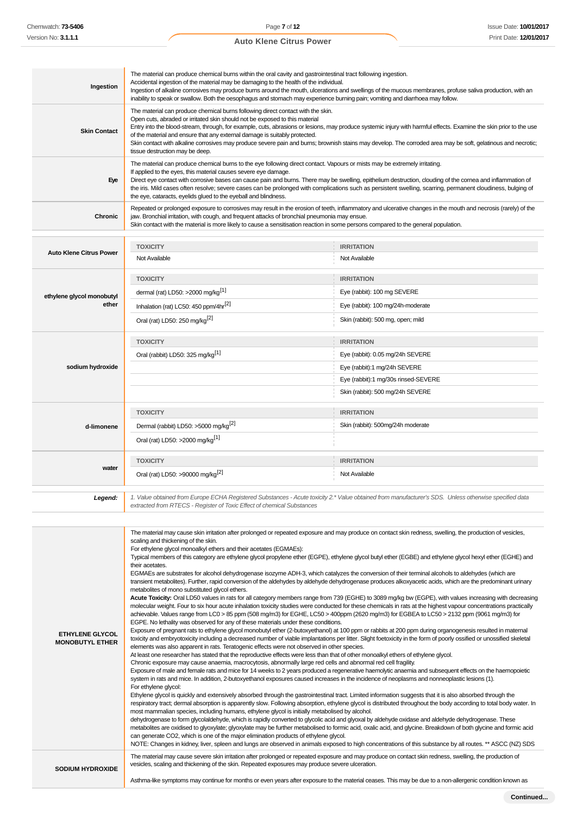#### **Ingestion** The material can produce chemical burns within the oral cavity and gastrointestinal tract following ingestion. Accidental ingestion of the material may be damaging to the health of the individual. Ingestion of alkaline corrosives may produce burns around the mouth, ulcerations and swellings of the mucous membranes, profuse saliva production, with an inability to speak or swallow. Both the oesophagus and stomach may experience burning pain; vomiting and diarrhoea may follow. **Skin Contact** The material can produce chemical burns following direct contact with the skin. Open cuts, abraded or irritated skin should not be exposed to this material Entry into the blood-stream, through, for example, cuts, abrasions or lesions, may produce systemic injury with harmful effects. Examine the skin prior to the use of the material and ensure that any external damage is suitably protected. Skin contact with alkaline corrosives may produce severe pain and burns; brownish stains may develop. The corroded area may be soft, gelatinous and necrotic; tissue destruction may be deep. **Eye** The material can produce chemical burns to the eye following direct contact. Vapours or mists may be extremely irritating. If applied to the eyes, this material causes severe eye damage. Direct eye contact with corrosive bases can cause pain and burns. There may be swelling, epithelium destruction, clouding of the cornea and inflammation of the iris. Mild cases often resolve; severe cases can be prolonged with complications such as persistent swelling, scarring, permanent cloudiness, bulging of the eye, cataracts, eyelids glued to the eyeball and blindness. **Chronic** Repeated or prolonged exposure to corrosives may result in the erosion of teeth, inflammatory and ulcerative changes in the mouth and necrosis (rarely) of the jaw. Bronchial irritation, with cough, and frequent attacks of bronchial pneumonia may ensue. Skin contact with the material is more likely to cause a sensitisation reaction in some persons compared to the general population. **Auto Klene Citrus Power TOXICITY IRRITATION** Not Available Not Available **ethylene glycol monobutyl ether TOXICITY IRRITATION** dermal (rat) LD50: >2000 mg/kg<sup>[1]</sup> exercise to the state of the state of the state of the state of the state of the state of the state of the state of the state of the state of the state of the state of the state of the s Inhalation (rat) LC50: 450 ppm/4hr<sup>[2]</sup>  $Eye$  (rabbit): 100 mg/24h-moderate Oral (rat) LD50: 250 mg/kg<sup>[2]</sup> Skin (rabbit): 500 mg, open; mild **sodium hydroxide TOXICITY IRRITATION** Oral (rabbit) LD50: 325 mg/kg<sup>[1]</sup> exercise to the exercise of the eye (rabbit): 0.05 mg/24h SEVERE Eye (rabbit):1 mg/24h SEVERE Eye (rabbit):1 mg/30s rinsed-SEVERE Skin (rabbit): 500 mg/24h SEVERE **d-limonene TOXICITY IRRITATION** Dermal (rabbit) LD50: >5000 mg/kg<sup>[2]</sup> Skin (rabbit): 500mg/24h moderate Oral (rat) LD50: >2000 mg/kg[1] **wate TOXICITY IRRITATION** Oral (rat) LD50: >90000 mg/kg<sup>[2]</sup> Not Available **Legend:** 1. Value obtained from Europe ECHA Registered Substances - Acute toxicity 2.\* Value obtained from manufacturer's SDS. Unless otherwise specified data extracted from RTECS - Register of Toxic Effect of chemical Substances **ETHYLENE GLYCOL MONOBUTYL ETHER** The material may cause skin irritation after prolonged or repeated exposure and may produce on contact skin redness, swelling, the production of vesicles, scaling and thickening of the skin. For ethylene glycol monoalkyl ethers and their acetates (EGMAEs): Typical members of this category are ethylene glycol propylene ether (EGPE), ethylene glycol butyl ether (EGBE) and ethylene glycol hexyl ether (EGHE) and their acetates. EGMAEs are substrates for alcohol dehydrogenase isozyme ADH-3, which catalyzes the conversion of their terminal alcohols to aldehydes (which are transient metabolites). Further, rapid conversion of the aldehydes by aldehyde dehydrogenase produces alkoxyacetic acids, which are the predominant urinary metabolites of mono substituted glycol ethers. **Acute Toxicity:** Oral LD50 values in rats for all category members range from 739 (EGHE) to 3089 mg/kg bw (EGPE), with values increasing with decreasing molecular weight. Four to six hour acute inhalation toxicity studies were conducted for these chemicals in rats at the highest vapour concentrations practically achievable. Values range from LC0 > 85 ppm (508 mg/m3) for EGHE, LC50 > 400ppm (2620 mg/m3) for EGBEA to LC50 > 2132 ppm (9061 mg/m3) for EGPE. No lethality was observed for any of these materials under these conditions. Exposure of pregnant rats to ethylene glycol monobutyl ether (2-butoxyethanol) at 100 ppm or rabbits at 200 ppm during organogenesis resulted in maternal toxicity and embryotoxicity including a decreased number of viable implantations per litter. Slight foetoxicity in the form of poorly ossified or unossified skeletal elements was also apparent in rats. Teratogenic effects were not observed in other species. At least one researcher has stated that the reproductive effects were less than that of other monoalkyl ethers of ethylene glycol. Chronic exposure may cause anaemia, macrocytosis, abnormally large red cells and abnormal red cell fragility. Exposure of male and female rats and mice for 14 weeks to 2 years produced a regenerative haemolytic anaemia and subsequent effects on the haemopoietic system in rats and mice. In addition, 2-butoxyethanol exposures caused increases in the incidence of neoplasms and nonneoplastic lesions (1). For ethylene glycol: Ethylene glycol is quickly and extensively absorbed through the gastrointestinal tract. Limited information suggests that it is also absorbed through the respiratory tract; dermal absorption is apparently slow. Following absorption, ethylene glycol is distributed throughout the body according to total body water. In most mammalian species, including humans, ethylene glycol is initially metabolised by alcohol. dehydrogenase to form glycolaldehyde, which is rapidly converted to glycolic acid and glyoxal by aldehyde oxidase and aldehyde dehydrogenase. These metabolites are oxidised to glyoxylate; glyoxylate may be further metabolised to formic acid, oxalic acid, and glycine. Breakdown of both glycine and formic acid can generate CO2, which is one of the major elimination products of ethylene glycol. NOTE: Changes in kidney, liver, spleen and lungs are observed in animals exposed to high concentrations of this substance by all routes. \*\* ASCC (NZ) SDS **SODIUM HYDROXIDE** The material may cause severe skin irritation after prolonged or repeated exposure and may produce on contact skin redness, swelling, the production of vesicles, scaling and thickening of the skin. Repeated exposures may produce severe ulceration.

Asthma-like symptoms may continue for months or even years after exposure to the material ceases. This may be due to a non-allergenic condition known as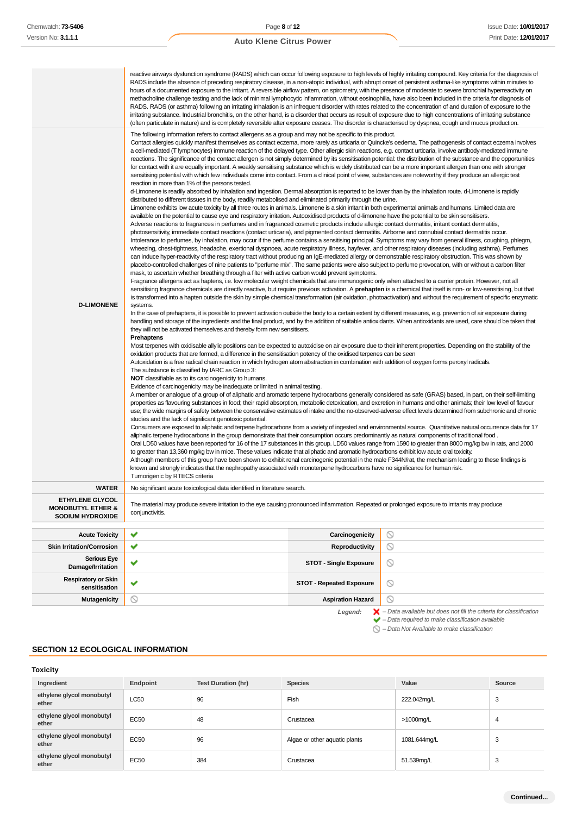|                                                                            |                                                                                                                                                                                                                                                                                                                                                                                                                                                                                                                                                                                                                                                                                                                                                                                                                                                                                                                                                                                                                                                                                                                                                                                                                                                                                                                                                                                                                                                                                                                                                                                                                                                                                                                                                                                                                                                                                                                                                                                                                                                                                                                                                                                                                                                                                                                                                                                                                                                                                                                                                                                                                                                                                                                                                                                                                                                                                                                                                                                                                                                                                                                                                                                                                                                                                                                                                                                                                                                                                                                                                                                                                                                                                                                                                                                                                                                                                                                                                                                                                                                                                                                                                                                                                                                                                                                                                                                                                                                                                                                                                                                                                                                                                                                                                                                                                                                                                                                                                                                                                                                                                                                                                                                                                                                                                                                                                                                                                                                                                                                                                                                                                                                                                                                                                                                                                                         | reactive airways dysfunction syndrome (RADS) which can occur following exposure to high levels of highly irritating compound. Key criteria for the diagnosis of<br>RADS include the absence of preceding respiratory disease, in a non-atopic individual, with abrupt onset of persistent asthma-like symptoms within minutes to<br>hours of a documented exposure to the irritant. A reversible airflow pattern, on spirometry, with the presence of moderate to severe bronchial hyperreactivity on<br>methacholine challenge testing and the lack of minimal lymphocytic inflammation, without eosinophilia, have also been included in the criteria for diagnosis of<br>RADS. RADS (or asthma) following an irritating inhalation is an infrequent disorder with rates related to the concentration of and duration of exposure to the<br>irritating substance. Industrial bronchitis, on the other hand, is a disorder that occurs as result of exposure due to high concentrations of irritating substance<br>(often particulate in nature) and is completely reversible after exposure ceases. The disorder is characterised by dyspnea, cough and mucus production. |  |  |  |  |  |  |  |
|----------------------------------------------------------------------------|-----------------------------------------------------------------------------------------------------------------------------------------------------------------------------------------------------------------------------------------------------------------------------------------------------------------------------------------------------------------------------------------------------------------------------------------------------------------------------------------------------------------------------------------------------------------------------------------------------------------------------------------------------------------------------------------------------------------------------------------------------------------------------------------------------------------------------------------------------------------------------------------------------------------------------------------------------------------------------------------------------------------------------------------------------------------------------------------------------------------------------------------------------------------------------------------------------------------------------------------------------------------------------------------------------------------------------------------------------------------------------------------------------------------------------------------------------------------------------------------------------------------------------------------------------------------------------------------------------------------------------------------------------------------------------------------------------------------------------------------------------------------------------------------------------------------------------------------------------------------------------------------------------------------------------------------------------------------------------------------------------------------------------------------------------------------------------------------------------------------------------------------------------------------------------------------------------------------------------------------------------------------------------------------------------------------------------------------------------------------------------------------------------------------------------------------------------------------------------------------------------------------------------------------------------------------------------------------------------------------------------------------------------------------------------------------------------------------------------------------------------------------------------------------------------------------------------------------------------------------------------------------------------------------------------------------------------------------------------------------------------------------------------------------------------------------------------------------------------------------------------------------------------------------------------------------------------------------------------------------------------------------------------------------------------------------------------------------------------------------------------------------------------------------------------------------------------------------------------------------------------------------------------------------------------------------------------------------------------------------------------------------------------------------------------------------------------------------------------------------------------------------------------------------------------------------------------------------------------------------------------------------------------------------------------------------------------------------------------------------------------------------------------------------------------------------------------------------------------------------------------------------------------------------------------------------------------------------------------------------------------------------------------------------------------------------------------------------------------------------------------------------------------------------------------------------------------------------------------------------------------------------------------------------------------------------------------------------------------------------------------------------------------------------------------------------------------------------------------------------------------------------------------------------------------------------------------------------------------------------------------------------------------------------------------------------------------------------------------------------------------------------------------------------------------------------------------------------------------------------------------------------------------------------------------------------------------------------------------------------------------------------------------------------------------------------------------------------------------------------------------------------------------------------------------------------------------------------------------------------------------------------------------------------------------------------------------------------------------------------------------------------------------------------------------------------------------------------------------------------------------------------------------------------------------------------------------------------|-----------------------------------------------------------------------------------------------------------------------------------------------------------------------------------------------------------------------------------------------------------------------------------------------------------------------------------------------------------------------------------------------------------------------------------------------------------------------------------------------------------------------------------------------------------------------------------------------------------------------------------------------------------------------------------------------------------------------------------------------------------------------------------------------------------------------------------------------------------------------------------------------------------------------------------------------------------------------------------------------------------------------------------------------------------------------------------------------------------------------------------------------------------------------------|--|--|--|--|--|--|--|
| <b>D-LIMONENE</b>                                                          | The following information refers to contact allergens as a group and may not be specific to this product.<br>Contact allergies quickly manifest themselves as contact eczema, more rarely as urticaria or Quincke's oedema. The pathogenesis of contact eczema involves<br>a cell-mediated (T lymphocytes) immune reaction of the delayed type. Other allergic skin reactions, e.g. contact urticaria, involve antibody-mediated immune<br>reactions. The significance of the contact allergen is not simply determined by its sensitisation potential: the distribution of the substance and the opportunities<br>for contact with it are equally important. A weakly sensitising substance which is widely distributed can be a more important allergen than one with stronger<br>sensitising potential with which few individuals come into contact. From a clinical point of view, substances are noteworthy if they produce an allergic test<br>reaction in more than 1% of the persons tested.<br>d-Limonene is readily absorbed by inhalation and ingestion. Dermal absorption is reported to be lower than by the inhalation route. d-Limonene is rapidly<br>distributed to different tissues in the body, readily metabolised and eliminated primarily through the urine.<br>Limonene exhibits low acute toxicity by all three routes in animals. Limonene is a skin irritant in both experimental animals and humans. Limited data are<br>available on the potential to cause eye and respiratory irritation. Autooxidised products of d-limonene have the potential to be skin sensitisers.<br>Adverse reactions to fragrances in perfumes and in fragranced cosmetic products include allergic contact dermatitis, irritant contact dermatitis,<br>photosensitivity, immediate contact reactions (contact urticaria), and pigmented contact dermatitis. Airborne and connubial contact dermatitis occur.<br>Intolerance to perfumes, by inhalation, may occur if the perfume contains a sensitising principal. Symptoms may vary from general illness, coughing, phlegm,<br>wheezing, chest-tightness, headache, exertional dyspnoea, acute respiratory illness, hayfever, and other respiratory diseases (including asthma). Perfumes<br>can induce hyper-reactivity of the respiratory tract without producing an IgE-mediated allergy or demonstrable respiratory obstruction. This was shown by<br>placebo-controlled challenges of nine patients to "perfume mix". The same patients were also subject to perfume provocation, with or without a carbon filter<br>mask, to ascertain whether breathing through a filter with active carbon would prevent symptoms.<br>Fragrance allergens act as haptens, i.e. low molecular weight chemicals that are immunogenic only when attached to a carrier protein. However, not all<br>sensitising fragrance chemicals are directly reactive, but require previous activation. A <b>prehapten</b> is a chemical that itself is non- or low-sensitising, but that<br>is transformed into a hapten outside the skin by simple chemical transformation (air oxidation, photoactivation) and without the requirement of specific enzymatic<br>systems.<br>In the case of prehaptens, it is possible to prevent activation outside the body to a certain extent by different measures, e.g. prevention of air exposure during<br>handling and storage of the ingredients and the final product, and by the addition of suitable antioxidants. When antioxidants are used, care should be taken that<br>they will not be activated themselves and thereby form new sensitisers.<br><b>Prehaptens</b><br>Most terpenes with oxidisable allylic positions can be expected to autoxidise on air exposure due to their inherent properties. Depending on the stability of the<br>oxidation products that are formed, a difference in the sensitisation potency of the oxidised terpenes can be seen<br>Autoxidation is a free radical chain reaction in which hydrogen atom abstraction in combination with addition of oxygen forms peroxyl radicals.<br>The substance is classified by IARC as Group 3:<br><b>NOT</b> classifiable as to its carcinogenicity to humans.<br>Evidence of carcinogenicity may be inadequate or limited in animal testing.<br>A member or analogue of a group of of aliphatic and aromatic terpene hydrocarbons generally considered as safe (GRAS) based, in part, on their self-limiting<br>properties as flavouring substances in food; their rapid absorption, metabolic detoxication, and excretion in humans and other animals; their low level of flavour<br>use; the wide margins of safety between the conservative estimates of intake and the no-observed-adverse effect levels determined from subchronic and chronic<br>studies and the lack of significant genotoxic potential.<br>Consumers are exposed to aliphatic and terpene hydrocarbons from a variety of ingested and environmental source. Quantitative natural occurrence data for 17<br>aliphatic terpene hydrocarbons in the group demonstrate that their consumption occurs predominantly as natural components of traditional food.<br>Oral LD50 values have been reported for 16 of the 17 substances in this group. LD50 values range from 1590 to greater than 8000 mg/kg bw in rats, and 2000<br>to greater than 13,360 mg/kg bw in mice. These values indicate that aliphatic and aromatic hydrocarbons exhibit low acute oral toxicity.<br>Although members of this group have been shown to exhibit renal carcinogenic potential in the male F344N/rat, the mechanism leading to these findings is<br>known and strongly indicates that the nephropathy associated with monoterpene hydrocarbons have no significance for human risk.<br>Tumorigenic by RTECS criteria |                                                                                                                                                                                                                                                                                                                                                                                                                                                                                                                                                                                                                                                                                                                                                                                                                                                                                                                                                                                                                                                                                                                                                                             |  |  |  |  |  |  |  |
| <b>WATER</b>                                                               | No significant acute toxicological data identified in literature search.                                                                                                                                                                                                                                                                                                                                                                                                                                                                                                                                                                                                                                                                                                                                                                                                                                                                                                                                                                                                                                                                                                                                                                                                                                                                                                                                                                                                                                                                                                                                                                                                                                                                                                                                                                                                                                                                                                                                                                                                                                                                                                                                                                                                                                                                                                                                                                                                                                                                                                                                                                                                                                                                                                                                                                                                                                                                                                                                                                                                                                                                                                                                                                                                                                                                                                                                                                                                                                                                                                                                                                                                                                                                                                                                                                                                                                                                                                                                                                                                                                                                                                                                                                                                                                                                                                                                                                                                                                                                                                                                                                                                                                                                                                                                                                                                                                                                                                                                                                                                                                                                                                                                                                                                                                                                                                                                                                                                                                                                                                                                                                                                                                                                                                                                                                |                                                                                                                                                                                                                                                                                                                                                                                                                                                                                                                                                                                                                                                                                                                                                                                                                                                                                                                                                                                                                                                                                                                                                                             |  |  |  |  |  |  |  |
| ETHYLENE GLYCOL<br><b>MONOBUTYL ETHER &amp;</b><br><b>SODIUM HYDROXIDE</b> | The material may produce severe irritation to the eye causing pronounced inflammation. Repeated or prolonged exposure to irritants may produce<br>conjunctivitis.                                                                                                                                                                                                                                                                                                                                                                                                                                                                                                                                                                                                                                                                                                                                                                                                                                                                                                                                                                                                                                                                                                                                                                                                                                                                                                                                                                                                                                                                                                                                                                                                                                                                                                                                                                                                                                                                                                                                                                                                                                                                                                                                                                                                                                                                                                                                                                                                                                                                                                                                                                                                                                                                                                                                                                                                                                                                                                                                                                                                                                                                                                                                                                                                                                                                                                                                                                                                                                                                                                                                                                                                                                                                                                                                                                                                                                                                                                                                                                                                                                                                                                                                                                                                                                                                                                                                                                                                                                                                                                                                                                                                                                                                                                                                                                                                                                                                                                                                                                                                                                                                                                                                                                                                                                                                                                                                                                                                                                                                                                                                                                                                                                                                       |                                                                                                                                                                                                                                                                                                                                                                                                                                                                                                                                                                                                                                                                                                                                                                                                                                                                                                                                                                                                                                                                                                                                                                             |  |  |  |  |  |  |  |
| <b>Acute Toxicity</b>                                                      | ✔<br>Carcinogenicity                                                                                                                                                                                                                                                                                                                                                                                                                                                                                                                                                                                                                                                                                                                                                                                                                                                                                                                                                                                                                                                                                                                                                                                                                                                                                                                                                                                                                                                                                                                                                                                                                                                                                                                                                                                                                                                                                                                                                                                                                                                                                                                                                                                                                                                                                                                                                                                                                                                                                                                                                                                                                                                                                                                                                                                                                                                                                                                                                                                                                                                                                                                                                                                                                                                                                                                                                                                                                                                                                                                                                                                                                                                                                                                                                                                                                                                                                                                                                                                                                                                                                                                                                                                                                                                                                                                                                                                                                                                                                                                                                                                                                                                                                                                                                                                                                                                                                                                                                                                                                                                                                                                                                                                                                                                                                                                                                                                                                                                                                                                                                                                                                                                                                                                                                                                                                    | $\circ$                                                                                                                                                                                                                                                                                                                                                                                                                                                                                                                                                                                                                                                                                                                                                                                                                                                                                                                                                                                                                                                                                                                                                                     |  |  |  |  |  |  |  |
| <b>Skin Irritation/Corrosion</b>                                           | ✔<br>Reproductivity                                                                                                                                                                                                                                                                                                                                                                                                                                                                                                                                                                                                                                                                                                                                                                                                                                                                                                                                                                                                                                                                                                                                                                                                                                                                                                                                                                                                                                                                                                                                                                                                                                                                                                                                                                                                                                                                                                                                                                                                                                                                                                                                                                                                                                                                                                                                                                                                                                                                                                                                                                                                                                                                                                                                                                                                                                                                                                                                                                                                                                                                                                                                                                                                                                                                                                                                                                                                                                                                                                                                                                                                                                                                                                                                                                                                                                                                                                                                                                                                                                                                                                                                                                                                                                                                                                                                                                                                                                                                                                                                                                                                                                                                                                                                                                                                                                                                                                                                                                                                                                                                                                                                                                                                                                                                                                                                                                                                                                                                                                                                                                                                                                                                                                                                                                                                                     | $\circledcirc$                                                                                                                                                                                                                                                                                                                                                                                                                                                                                                                                                                                                                                                                                                                                                                                                                                                                                                                                                                                                                                                                                                                                                              |  |  |  |  |  |  |  |
| <b>Serious Eye</b><br>Damage/Irritation                                    | ✔<br>STOT - Single Exposure                                                                                                                                                                                                                                                                                                                                                                                                                                                                                                                                                                                                                                                                                                                                                                                                                                                                                                                                                                                                                                                                                                                                                                                                                                                                                                                                                                                                                                                                                                                                                                                                                                                                                                                                                                                                                                                                                                                                                                                                                                                                                                                                                                                                                                                                                                                                                                                                                                                                                                                                                                                                                                                                                                                                                                                                                                                                                                                                                                                                                                                                                                                                                                                                                                                                                                                                                                                                                                                                                                                                                                                                                                                                                                                                                                                                                                                                                                                                                                                                                                                                                                                                                                                                                                                                                                                                                                                                                                                                                                                                                                                                                                                                                                                                                                                                                                                                                                                                                                                                                                                                                                                                                                                                                                                                                                                                                                                                                                                                                                                                                                                                                                                                                                                                                                                                             | $\circ$                                                                                                                                                                                                                                                                                                                                                                                                                                                                                                                                                                                                                                                                                                                                                                                                                                                                                                                                                                                                                                                                                                                                                                     |  |  |  |  |  |  |  |
| <b>Respiratory or Skin</b><br>sensitisation                                | ✔<br><b>STOT - Repeated Exposure</b>                                                                                                                                                                                                                                                                                                                                                                                                                                                                                                                                                                                                                                                                                                                                                                                                                                                                                                                                                                                                                                                                                                                                                                                                                                                                                                                                                                                                                                                                                                                                                                                                                                                                                                                                                                                                                                                                                                                                                                                                                                                                                                                                                                                                                                                                                                                                                                                                                                                                                                                                                                                                                                                                                                                                                                                                                                                                                                                                                                                                                                                                                                                                                                                                                                                                                                                                                                                                                                                                                                                                                                                                                                                                                                                                                                                                                                                                                                                                                                                                                                                                                                                                                                                                                                                                                                                                                                                                                                                                                                                                                                                                                                                                                                                                                                                                                                                                                                                                                                                                                                                                                                                                                                                                                                                                                                                                                                                                                                                                                                                                                                                                                                                                                                                                                                                                    | $\circ$                                                                                                                                                                                                                                                                                                                                                                                                                                                                                                                                                                                                                                                                                                                                                                                                                                                                                                                                                                                                                                                                                                                                                                     |  |  |  |  |  |  |  |
| <b>Mutagenicity</b>                                                        | ∾<br><b>Aspiration Hazard</b>                                                                                                                                                                                                                                                                                                                                                                                                                                                                                                                                                                                                                                                                                                                                                                                                                                                                                                                                                                                                                                                                                                                                                                                                                                                                                                                                                                                                                                                                                                                                                                                                                                                                                                                                                                                                                                                                                                                                                                                                                                                                                                                                                                                                                                                                                                                                                                                                                                                                                                                                                                                                                                                                                                                                                                                                                                                                                                                                                                                                                                                                                                                                                                                                                                                                                                                                                                                                                                                                                                                                                                                                                                                                                                                                                                                                                                                                                                                                                                                                                                                                                                                                                                                                                                                                                                                                                                                                                                                                                                                                                                                                                                                                                                                                                                                                                                                                                                                                                                                                                                                                                                                                                                                                                                                                                                                                                                                                                                                                                                                                                                                                                                                                                                                                                                                                           | $\circledcirc$                                                                                                                                                                                                                                                                                                                                                                                                                                                                                                                                                                                                                                                                                                                                                                                                                                                                                                                                                                                                                                                                                                                                                              |  |  |  |  |  |  |  |
|                                                                            | Legend:                                                                                                                                                                                                                                                                                                                                                                                                                                                                                                                                                                                                                                                                                                                                                                                                                                                                                                                                                                                                                                                                                                                                                                                                                                                                                                                                                                                                                                                                                                                                                                                                                                                                                                                                                                                                                                                                                                                                                                                                                                                                                                                                                                                                                                                                                                                                                                                                                                                                                                                                                                                                                                                                                                                                                                                                                                                                                                                                                                                                                                                                                                                                                                                                                                                                                                                                                                                                                                                                                                                                                                                                                                                                                                                                                                                                                                                                                                                                                                                                                                                                                                                                                                                                                                                                                                                                                                                                                                                                                                                                                                                                                                                                                                                                                                                                                                                                                                                                                                                                                                                                                                                                                                                                                                                                                                                                                                                                                                                                                                                                                                                                                                                                                                                                                                                                                                 | $\blacktriangleright$ - Data available but does not fill the criteria for classification<br>$\blacktriangleright$ - Data required to make classification available                                                                                                                                                                                                                                                                                                                                                                                                                                                                                                                                                                                                                                                                                                                                                                                                                                                                                                                                                                                                          |  |  |  |  |  |  |  |

– Data Not Available to make classification

# **SECTION 12 ECOLOGICAL INFORMATION**

# **Toxicity**

| Ingredient                         | Endpoint    | Test Duration (hr) | <b>Species</b>                | Value        | Source |
|------------------------------------|-------------|--------------------|-------------------------------|--------------|--------|
| ethylene glycol monobutyl<br>ether | <b>LC50</b> | 96                 | Fish                          | 222.042mg/L  | 3      |
| ethylene glycol monobutyl<br>ether | <b>EC50</b> | 48                 | Crustacea                     | >1000mg/L    | 4      |
| ethylene glycol monobutyl<br>ether | <b>EC50</b> | 96                 | Algae or other aquatic plants | 1081.644mg/L | 3      |
| ethylene glycol monobutyl<br>ether | <b>EC50</b> | 384                | Crustacea                     | 51.539mg/L   | 3      |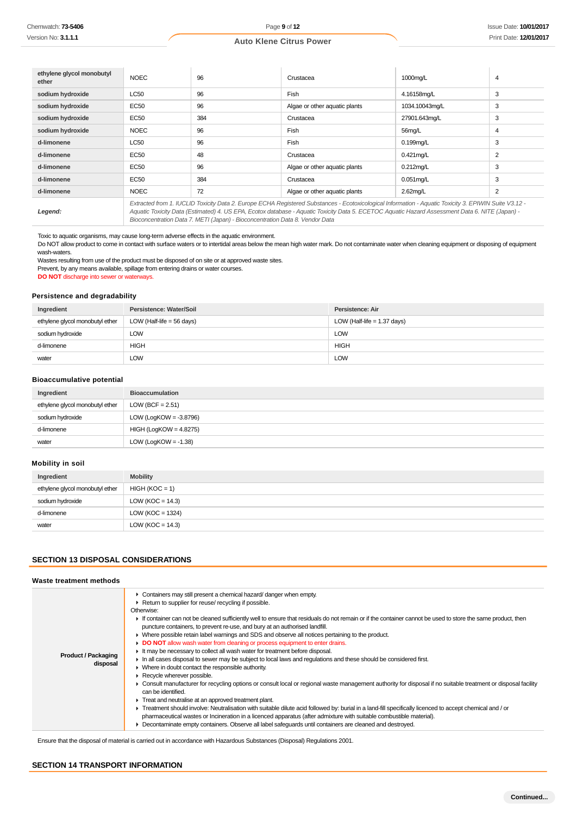| ethylene glycol monobutyl<br>ether | <b>NOEC</b>                                                                                                                                                                                                                                                                                              | 96  | Crustacea                     | 1000mg/L       | 4 |
|------------------------------------|----------------------------------------------------------------------------------------------------------------------------------------------------------------------------------------------------------------------------------------------------------------------------------------------------------|-----|-------------------------------|----------------|---|
| sodium hydroxide                   | <b>LC50</b>                                                                                                                                                                                                                                                                                              | 96  | Fish                          | 4.16158mg/L    | 3 |
| sodium hydroxide                   | EC50                                                                                                                                                                                                                                                                                                     | 96  | Algae or other aquatic plants | 1034.10043mg/L | 3 |
| sodium hydroxide                   | <b>EC50</b>                                                                                                                                                                                                                                                                                              | 384 | Crustacea                     | 27901.643mg/L  | 3 |
| sodium hydroxide                   | <b>NOEC</b>                                                                                                                                                                                                                                                                                              | 96  | Fish                          | 56mg/L         | 4 |
| d-limonene                         | <b>LC50</b>                                                                                                                                                                                                                                                                                              | 96  | Fish                          | $0.199$ mg/L   | 3 |
| d-limonene                         | EC50                                                                                                                                                                                                                                                                                                     | 48  | Crustacea                     | $0.421$ mg/L   | 2 |
| d-limonene                         | EC50                                                                                                                                                                                                                                                                                                     | 96  | Algae or other aquatic plants | $0.212$ mg/L   | 3 |
| d-limonene                         | EC50                                                                                                                                                                                                                                                                                                     | 384 | Crustacea                     | $0.051$ mg/L   | 3 |
| d-limonene                         | <b>NOEC</b>                                                                                                                                                                                                                                                                                              | 72  | Algae or other aquatic plants | 2.62mg/L       | 2 |
| Legend:                            | Extracted from 1. IUCLID Toxicity Data 2. Europe ECHA Registered Substances - Ecotoxicological Information - Aquatic Toxicity 3. EPIWIN Suite V3.12 -<br>Aquatic Toxicity Data (Estimated) 4. US EPA, Ecotox database - Aquatic Toxicity Data 5. ECETOC Aquatic Hazard Assessment Data 6. NITE (Japan) - |     |                               |                |   |

Bioconcentration Data 7. METI (Japan) - Bioconcentration Data 8. Vendor Data

Toxic to aquatic organisms, may cause long-term adverse effects in the aquatic environment.

Do NOT allow product to come in contact with surface waters or to intertidal areas below the mean high water mark. Do not contaminate water when cleaning equipment or disposing of equipment wash-waters.

Wastes resulting from use of the product must be disposed of on site or at approved waste sites.

Prevent, by any means available, spillage from entering drains or water courses.

**DO NOT** discharge into sewer or waterways.

#### **Persistence and degradability**

| Ingredient                      | Persistence: Water/Soil     | Persistence: Air              |
|---------------------------------|-----------------------------|-------------------------------|
| ethylene glycol monobutyl ether | LOW (Half-life = $56$ days) | LOW (Half-life $= 1.37$ days) |
| sodium hydroxide                | LOW                         | <b>LOW</b>                    |
| d-limonene                      | HIGH                        | <b>HIGH</b>                   |
| water                           | LOW                         | <b>LOW</b>                    |

#### **Bioaccumulative potential**

| Ingredient                      | <b>Bioaccumulation</b>    |
|---------------------------------|---------------------------|
| ethylene glycol monobutyl ether | LOW (BCF = $2.51$ )       |
| sodium hydroxide                | LOW (LogKOW = $-3.8796$ ) |
| d-limonene                      | $HIGH (LogKOW = 4.8275)$  |
| water                           | LOW (LogKOW = $-1.38$ )   |

# **Mobility in soil**

| Ingredient                      | <b>Mobility</b>      |
|---------------------------------|----------------------|
| ethylene glycol monobutyl ether | $HIGH (KOC = 1)$     |
| sodium hydroxide                | LOW ( $KOC = 14.3$ ) |
| d-limonene                      | LOW ( $KOC = 1324$ ) |
| water                           | LOW ( $KOC = 14.3$ ) |

# **SECTION 13 DISPOSAL CONSIDERATIONS**

#### **Waste treatment methods**

| <b>Product / Packaging</b><br>disposal | • Containers may still present a chemical hazard/danger when empty.<br>▶ Return to supplier for reuse/ recycling if possible.<br>Otherwise:<br>If container can not be cleaned sufficiently well to ensure that residuals do not remain or if the container cannot be used to store the same product, then<br>puncture containers, to prevent re-use, and bury at an authorised landfill.<br>• Where possible retain label warnings and SDS and observe all notices pertaining to the product.<br>DO NOT allow wash water from cleaning or process equipment to enter drains.<br>If the may be necessary to collect all wash water for treatment before disposal.<br>In all cases disposal to sewer may be subject to local laws and regulations and these should be considered first.<br>• Where in doubt contact the responsible authority.<br>$\triangleright$ Recycle wherever possible.<br>• Consult manufacturer for recycling options or consult local or regional waste management authority for disposal if no suitable treatment or disposal facility<br>can be identified.<br>F Treat and neutralise at an approved treatment plant.<br>F Treatment should involve: Neutralisation with suitable dilute acid followed by: burial in a land-fill specifically licenced to accept chemical and / or<br>pharmaceutical wastes or Incineration in a licenced apparatus (after admixture with suitable combustible material).<br>Decontaminate empty containers. Observe all label safeguards until containers are cleaned and destroyed. |
|----------------------------------------|-------------------------------------------------------------------------------------------------------------------------------------------------------------------------------------------------------------------------------------------------------------------------------------------------------------------------------------------------------------------------------------------------------------------------------------------------------------------------------------------------------------------------------------------------------------------------------------------------------------------------------------------------------------------------------------------------------------------------------------------------------------------------------------------------------------------------------------------------------------------------------------------------------------------------------------------------------------------------------------------------------------------------------------------------------------------------------------------------------------------------------------------------------------------------------------------------------------------------------------------------------------------------------------------------------------------------------------------------------------------------------------------------------------------------------------------------------------------------------------------------------------------------------------------------|

Ensure that the disposal of material is carried out in accordance with Hazardous Substances (Disposal) Regulations 2001.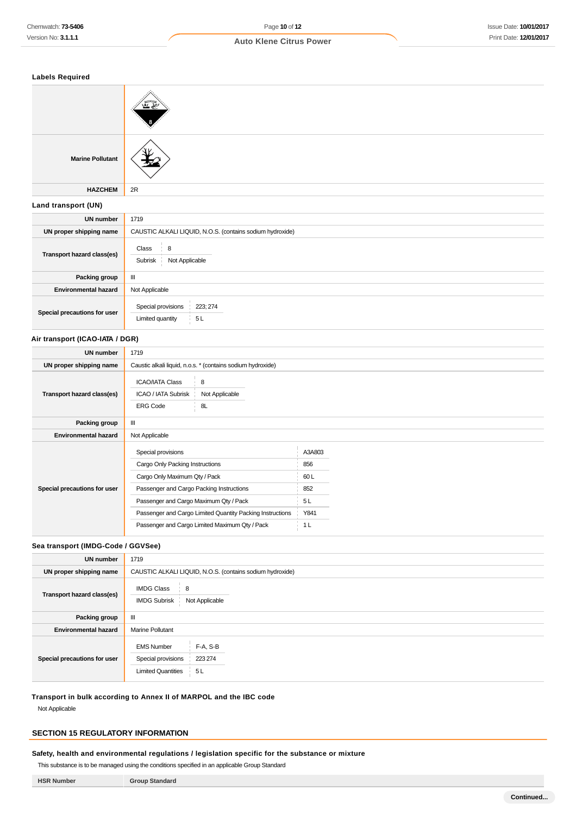| <b>Labels Required</b>          |                                                                      |  |  |
|---------------------------------|----------------------------------------------------------------------|--|--|
|                                 |                                                                      |  |  |
| <b>Marine Pollutant</b>         |                                                                      |  |  |
| <b>HAZCHEM</b>                  | 2R                                                                   |  |  |
| Land transport (UN)             |                                                                      |  |  |
| <b>UN number</b>                | 1719                                                                 |  |  |
| UN proper shipping name         | CAUSTIC ALKALI LIQUID, N.O.S. (contains sodium hydroxide)            |  |  |
| Transport hazard class(es)      | 8<br>Class<br>Subrisk<br>Not Applicable                              |  |  |
| Packing group                   | Ш                                                                    |  |  |
| <b>Environmental hazard</b>     | Not Applicable                                                       |  |  |
| Special precautions for user    | Special provisions<br>223; 274<br>5L<br>Limited quantity             |  |  |
| Air transport (ICAO-IATA / DGR) |                                                                      |  |  |
| <b>UN number</b>                | 1719                                                                 |  |  |
| UN proper shipping name         | Caustic alkali liquid, n.o.s. * (contains sodium hydroxide)          |  |  |
| Transport hazard class(es)      | <b>ICAO/IATA Class</b><br>8<br>ICAO / IATA Subrisk<br>Not Applicable |  |  |
|                                 | <b>ERG Code</b><br>8L                                                |  |  |

# **Sea transport (IMDG-Code / GGVSee)**

**Special precautions for user**

**Packing group** | III **Environmental hazard** Not Applicable

| <b>UN number</b>             | 1719                                                                 |                                                           |  |
|------------------------------|----------------------------------------------------------------------|-----------------------------------------------------------|--|
| UN proper shipping name      |                                                                      | CAUSTIC ALKALI LIQUID, N.O.S. (contains sodium hydroxide) |  |
| Transport hazard class(es)   | <b>IMDG Class</b><br>8<br><b>IMDG Subrisk</b>                        | Not Applicable                                            |  |
| Packing group                | Ш                                                                    |                                                           |  |
| <b>Environmental hazard</b>  | <b>Marine Pollutant</b>                                              |                                                           |  |
| Special precautions for user | <b>EMS Number</b><br>Special provisions<br><b>Limited Quantities</b> | F-A, S-B<br>223 274<br>5 L                                |  |

Special provisions A3A803 Cargo Only Packing Instructions 856 Cargo Only Maximum Qty / Pack 60 L Passenger and Cargo Packing Instructions 852 Passenger and Cargo Maximum Qty / Pack 5 L Passenger and Cargo Limited Quantity Packing Instructions Y841 Passenger and Cargo Limited Maximum Qty / Pack 1 L

**Transport in bulk according to Annex II of MARPOL and the IBC code**

Not Applicable

# **SECTION 15 REGULATORY INFORMATION**

**Safety, health and environmental regulations / legislation specific for the substance or mixture**

This substance is to be managed using the conditions specified in an applicable Group Standard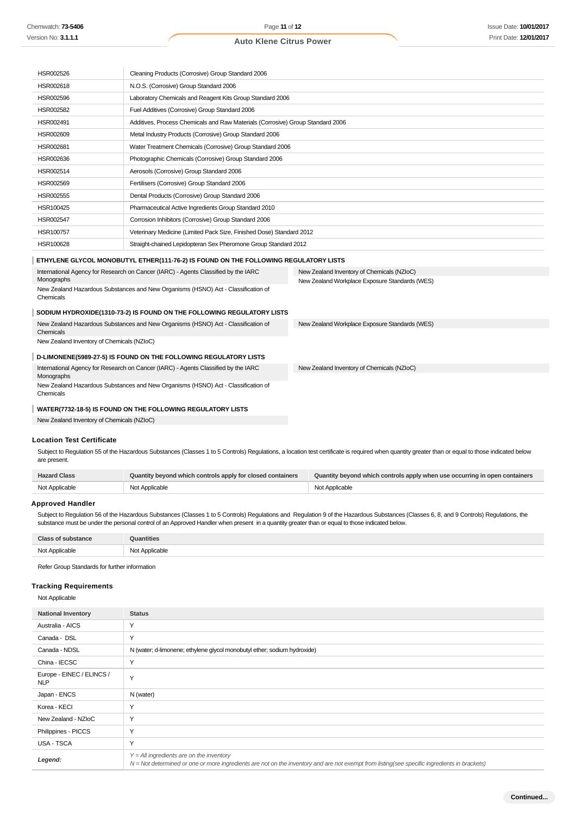| HSR002526 | Cleaning Products (Corrosive) Group Standard 2006                              |
|-----------|--------------------------------------------------------------------------------|
| HSR002618 | N.O.S. (Corrosive) Group Standard 2006                                         |
| HSR002596 | Laboratory Chemicals and Reagent Kits Group Standard 2006                      |
| HSR002582 | Fuel Additives (Corrosive) Group Standard 2006                                 |
| HSR002491 | Additives, Process Chemicals and Raw Materials (Corrosive) Group Standard 2006 |
| HSR002609 | Metal Industry Products (Corrosive) Group Standard 2006                        |
| HSR002681 | Water Treatment Chemicals (Corrosive) Group Standard 2006                      |
| HSR002636 | Photographic Chemicals (Corrosive) Group Standard 2006                         |
| HSR002514 | Aerosols (Corrosive) Group Standard 2006                                       |
| HSR002569 | Fertilisers (Corrosive) Group Standard 2006                                    |
| HSR002555 | Dental Products (Corrosive) Group Standard 2006                                |
| HSR100425 | Pharmaceutical Active Ingredients Group Standard 2010                          |
| HSR002547 | Corrosion Inhibitors (Corrosive) Group Standard 2006                           |
| HSR100757 | Veterinary Medicine (Limited Pack Size, Finished Dose) Standard 2012           |
| HSR100628 | Straight-chained Lepidopteran Sex Pheromone Group Standard 2012                |

#### **ETHYLENE GLYCOL MONOBUTYL ETHER(111-76-2) IS FOUND ON THE FOLLOWING REGULATORY LISTS**

| International Agency for Research on Cancer (IARC) - Agents Classified by the IARC             | New Zealand Inventory of Chemicals (NZIoC)     |
|------------------------------------------------------------------------------------------------|------------------------------------------------|
| Monographs                                                                                     | New Zealand Workplace Exposure Standards (WES) |
| New Zealand Hazardous Substances and New Organisms (HSNO) Act - Classification of<br>Chemicals |                                                |
| SODIUM HYDROXIDE(1310-73-2) IS FOUND ON THE FOLLOWING REGULATORY LISTS                         |                                                |
| New Zealand Hazardous Substances and New Organisms (HSNO) Act - Classification of              | New Zealand Workplace Exposure Standards (WES) |
| Chemicals                                                                                      |                                                |
| New Zealand Inventory of Chemicals (NZIoC)                                                     |                                                |
| D-LIMONENE(5989-27-5) IS FOUND ON THE FOLLOWING REGULATORY LISTS                               |                                                |
| International Agency for Research on Cancer (IARC) - Agents Classified by the IARC             | New Zealand Inventory of Chemicals (NZIoC)     |
| Monographs                                                                                     |                                                |
| New Zealand Hazardous Substances and New Organisms (HSNO) Act - Classification of<br>Chemicals |                                                |
| WATER(7732-18-5) IS FOUND ON THE FOLLOWING REGULATORY LISTS                                    |                                                |

New Zealand Inventory of Chemicals (NZIoC)

#### **Location Test Certificate**

Subject to Regulation 55 of the Hazardous Substances (Classes 1 to 5 Controls) Regulations, a location test certificate is required when quantity greater than or equal to those indicated below are present.

| <b>Hazard Class</b> | Quantity beyond which controls apply for closed containers | Quantity beyond which controls apply when use occurring in open containers |
|---------------------|------------------------------------------------------------|----------------------------------------------------------------------------|
| Not Applicable      | Not Applicable                                             | Not Applicable                                                             |

#### **Approved Handler**

Subject to Regulation 56 of the Hazardous Substances (Classes 1 to 5 Controls) Regulations and Regulation 9 of the Hazardous Substances (Classes 6, 8, and 9 Controls) Regulations, the substance must be under the personal control of an Approved Handler when present in a quantity greater than or equal to those indicated below.

| <b>Class of substance</b> | Quantities     |
|---------------------------|----------------|
| Not Applicable            | Not Applicable |

Refer Group Standards for further information

#### **Tracking Requirements**

Not Applicable

| <b>National Inventory</b>               | <b>Status</b>                                                                                                                                                                              |
|-----------------------------------------|--------------------------------------------------------------------------------------------------------------------------------------------------------------------------------------------|
| Australia - AICS                        | Y                                                                                                                                                                                          |
| Canada - DSL                            | Y                                                                                                                                                                                          |
| Canada - NDSL                           | N (water; d-limonene; ethylene glycol monobutyl ether; sodium hydroxide)                                                                                                                   |
| China - IECSC                           | Y                                                                                                                                                                                          |
| Europe - EINEC / ELINCS /<br><b>NLP</b> | Y                                                                                                                                                                                          |
| Japan - ENCS                            | N (water)                                                                                                                                                                                  |
| Korea - KECI                            | Υ                                                                                                                                                                                          |
| New Zealand - NZIoC                     | Y                                                                                                                                                                                          |
| Philippines - PICCS                     | Y                                                                                                                                                                                          |
| USA - TSCA                              | Y                                                                                                                                                                                          |
| Legend:                                 | $Y = All$ ingredients are on the inventory<br>N = Not determined or one or more ingredients are not on the inventory and are not exempt from listing(see specific ingredients in brackets) |